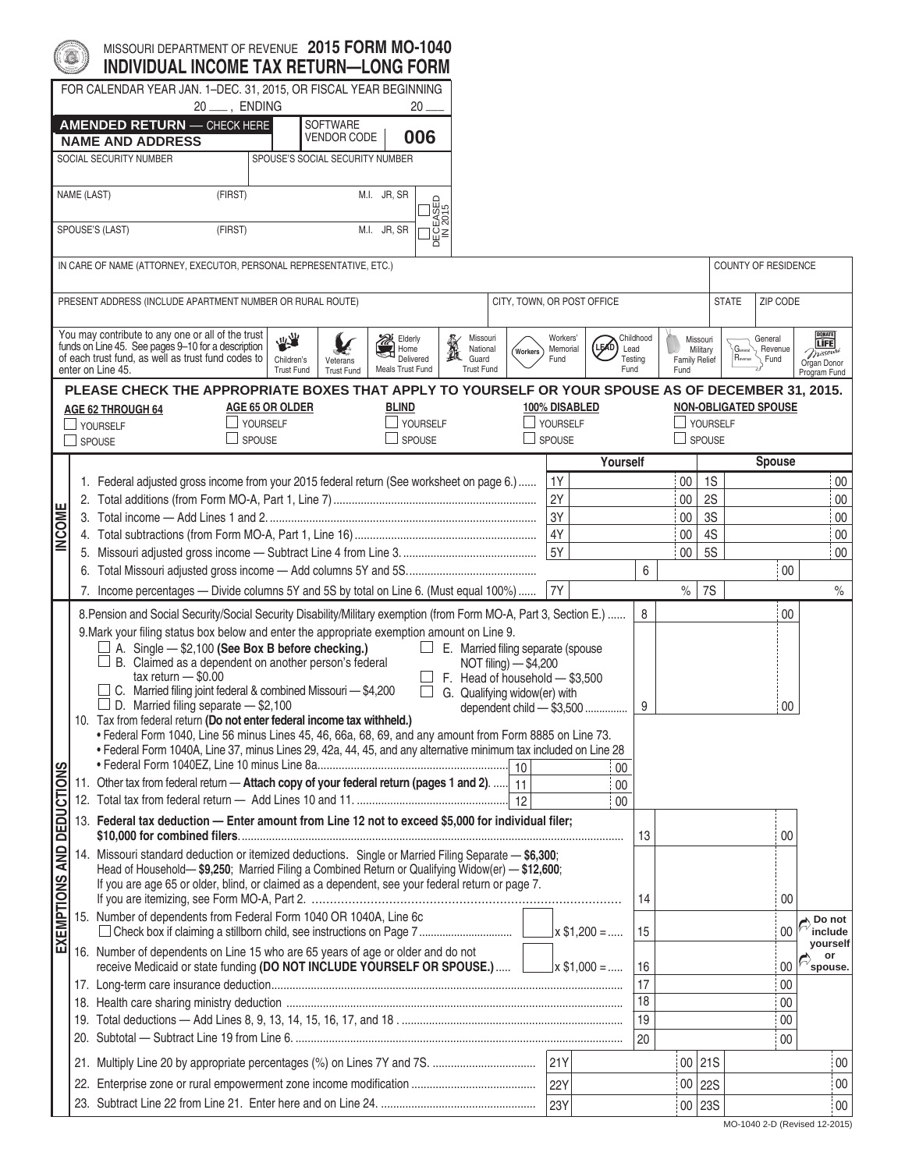|                       | FOR CALENDAR YEAR JAN. 1-DEC. 31, 2015, OR FISCAL YEAR BEGINNING<br>20 ___ , ENDING                                                                                                                                                                                                                                                                                                                                                                                                |                                                                                                                                                                                                                                                                                                             |                                       |                                 |                                            | 20 .                      |                                                                                                             |                                                    |                        |               |                              |                            |                      |                              |                           |                                         |                             |                                                                          |
|-----------------------|------------------------------------------------------------------------------------------------------------------------------------------------------------------------------------------------------------------------------------------------------------------------------------------------------------------------------------------------------------------------------------------------------------------------------------------------------------------------------------|-------------------------------------------------------------------------------------------------------------------------------------------------------------------------------------------------------------------------------------------------------------------------------------------------------------|---------------------------------------|---------------------------------|--------------------------------------------|---------------------------|-------------------------------------------------------------------------------------------------------------|----------------------------------------------------|------------------------|---------------|------------------------------|----------------------------|----------------------|------------------------------|---------------------------|-----------------------------------------|-----------------------------|--------------------------------------------------------------------------|
|                       | <b>AMENDED RETURN - CHECK HERE</b>                                                                                                                                                                                                                                                                                                                                                                                                                                                 |                                                                                                                                                                                                                                                                                                             |                                       | <b>SOFTWARE</b>                 |                                            |                           |                                                                                                             |                                                    |                        |               |                              |                            |                      |                              |                           |                                         |                             |                                                                          |
|                       | <b>NAME AND ADDRESS</b>                                                                                                                                                                                                                                                                                                                                                                                                                                                            |                                                                                                                                                                                                                                                                                                             |                                       | <b>VENDOR CODE</b>              |                                            | 006                       |                                                                                                             |                                                    |                        |               |                              |                            |                      |                              |                           |                                         |                             |                                                                          |
|                       | SOCIAL SECURITY NUMBER                                                                                                                                                                                                                                                                                                                                                                                                                                                             |                                                                                                                                                                                                                                                                                                             |                                       | SPOUSE'S SOCIAL SECURITY NUMBER |                                            |                           |                                                                                                             |                                                    |                        |               |                              |                            |                      |                              |                           |                                         |                             |                                                                          |
|                       | NAME (LAST)<br>(FIRST)                                                                                                                                                                                                                                                                                                                                                                                                                                                             |                                                                                                                                                                                                                                                                                                             |                                       |                                 | M.I. JR, SR                                |                           |                                                                                                             |                                                    |                        |               |                              |                            |                      |                              |                           |                                         |                             |                                                                          |
|                       | (FIRST)<br>SPOUSE'S (LAST)                                                                                                                                                                                                                                                                                                                                                                                                                                                         |                                                                                                                                                                                                                                                                                                             |                                       |                                 | M.I. JR, SR                                | $\frac{1}{2015}$<br>¦∺ੂ≧  |                                                                                                             |                                                    |                        |               |                              |                            |                      |                              |                           |                                         |                             |                                                                          |
|                       | IN CARE OF NAME (ATTORNEY, EXECUTOR, PERSONAL REPRESENTATIVE, ETC.)                                                                                                                                                                                                                                                                                                                                                                                                                |                                                                                                                                                                                                                                                                                                             |                                       |                                 |                                            |                           |                                                                                                             |                                                    |                        |               |                              |                            |                      |                              |                           |                                         | COUNTY OF RESIDENCE         |                                                                          |
|                       | PRESENT ADDRESS (INCLUDE APARTMENT NUMBER OR RURAL ROUTE)                                                                                                                                                                                                                                                                                                                                                                                                                          |                                                                                                                                                                                                                                                                                                             |                                       |                                 |                                            |                           |                                                                                                             |                                                    |                        |               |                              | CITY, TOWN, OR POST OFFICE |                      |                              |                           | <b>STATE</b>                            | ZIP CODE                    |                                                                          |
|                       | You may contribute to any one or all of the trust<br>funds on Line 45. See pages 9-10 for a description<br>of each trust fund, as well as trust fund codes to<br>enter on Line 45.                                                                                                                                                                                                                                                                                                 |                                                                                                                                                                                                                                                                                                             | 大学<br>Children's<br><b>Trust Fund</b> | Veterans<br><b>Trust Fund</b>   | <b>XX</b> Elderly<br>u<br>Meals Trust Fund | Home<br>Delivered         | $\mathbb{X}$                                                                                                | Missouri<br>National<br>Guard<br><b>Trust Fund</b> | Workers                |               | Workers'<br>Memorial<br>Fund | (le∕o<br>Lead<br>Fund      | Childhood<br>Testing | <b>Family Relief</b><br>Fund | Missouri<br>Military      | G <sub>eneral</sub>                     | General<br>Revenue<br>Fund  | <b>DONATE</b><br><b>TIFEI</b><br>missouri<br>Organ Donor<br>Program Fund |
|                       | PLEASE CHECK THE APPROPRIATE BOXES THAT APPLY TO YOURSELF OR YOUR SPOUSE AS OF DECEMBER 31, 2015.                                                                                                                                                                                                                                                                                                                                                                                  |                                                                                                                                                                                                                                                                                                             |                                       |                                 |                                            |                           |                                                                                                             |                                                    |                        |               |                              |                            |                      |                              |                           |                                         |                             |                                                                          |
|                       | <b>AGE 62 THROUGH 64</b>                                                                                                                                                                                                                                                                                                                                                                                                                                                           |                                                                                                                                                                                                                                                                                                             | <b>AGE 65 OR OLDER</b>                |                                 | <b>BLIND</b>                               |                           |                                                                                                             |                                                    |                        |               | 100% DISABLED                |                            |                      |                              |                           |                                         | <b>NON-OBLIGATED SPOUSE</b> |                                                                          |
|                       | VOURSELF<br>$\Box$ SPOUSE                                                                                                                                                                                                                                                                                                                                                                                                                                                          | YOURSELF<br>SPOUSE                                                                                                                                                                                                                                                                                          |                                       |                                 |                                            | VOURSELF<br>$\Box$ SPOUSE |                                                                                                             |                                                    |                        | $\Box$ SPOUSE | VOURSELF                     |                            |                      |                              | YOURSELF<br>$\Box$ SPOUSE |                                         |                             |                                                                          |
|                       |                                                                                                                                                                                                                                                                                                                                                                                                                                                                                    |                                                                                                                                                                                                                                                                                                             |                                       |                                 |                                            |                           |                                                                                                             |                                                    |                        |               |                              |                            |                      |                              |                           |                                         |                             |                                                                          |
|                       |                                                                                                                                                                                                                                                                                                                                                                                                                                                                                    |                                                                                                                                                                                                                                                                                                             |                                       |                                 |                                            |                           |                                                                                                             |                                                    |                        |               |                              | Yourself                   |                      |                              |                           |                                         | <b>Spouse</b>               |                                                                          |
|                       | 1. Federal adjusted gross income from your 2015 federal return (See worksheet on page 6.)                                                                                                                                                                                                                                                                                                                                                                                          |                                                                                                                                                                                                                                                                                                             |                                       |                                 |                                            |                           |                                                                                                             |                                                    |                        |               | 1Y                           |                            |                      | $00\,$                       | 1S                        |                                         |                             | $00\,$                                                                   |
|                       |                                                                                                                                                                                                                                                                                                                                                                                                                                                                                    |                                                                                                                                                                                                                                                                                                             |                                       |                                 |                                            |                           |                                                                                                             |                                                    |                        | 2Y            |                              |                            |                      | $00\,$                       | 2S                        |                                         |                             | 00                                                                       |
|                       |                                                                                                                                                                                                                                                                                                                                                                                                                                                                                    |                                                                                                                                                                                                                                                                                                             |                                       |                                 |                                            |                           |                                                                                                             |                                                    |                        | 3Y            |                              |                            |                      | $00\,$                       | 3S                        |                                         |                             | 00                                                                       |
| <b>INCOME</b>         | 4Y<br>5Y                                                                                                                                                                                                                                                                                                                                                                                                                                                                           |                                                                                                                                                                                                                                                                                                             |                                       |                                 |                                            |                           |                                                                                                             |                                                    |                        | $00\,$        | 4S                           |                            |                      | $00\,$                       |                           |                                         |                             |                                                                          |
|                       |                                                                                                                                                                                                                                                                                                                                                                                                                                                                                    |                                                                                                                                                                                                                                                                                                             |                                       |                                 |                                            |                           |                                                                                                             |                                                    |                        |               |                              |                            |                      | $00\,$                       | <b>5S</b>                 |                                         |                             | 00                                                                       |
|                       |                                                                                                                                                                                                                                                                                                                                                                                                                                                                                    |                                                                                                                                                                                                                                                                                                             |                                       |                                 |                                            |                           |                                                                                                             |                                                    |                        |               |                              |                            | 6                    |                              |                           |                                         | $00\,$                      |                                                                          |
|                       | 7. Income percentages - Divide columns 5Y and 5S by total on Line 6. (Must equal 100%)                                                                                                                                                                                                                                                                                                                                                                                             |                                                                                                                                                                                                                                                                                                             |                                       |                                 |                                            |                           |                                                                                                             |                                                    |                        | 7Y            |                              |                            |                      | $\%$                         | <b>7S</b>                 |                                         |                             | $\%$                                                                     |
|                       | 8. Pension and Social Security/Social Security Disability/Military exemption (from Form MO-A, Part 3, Section E.)<br>9. Mark your filing status box below and enter the appropriate exemption amount on Line 9.<br>$\Box$ A. Single $-$ \$2,100 (See Box B before checking.)<br>$\Box$ B. Claimed as a dependent on another person's federal<br>$tax$ return $-$ \$0.00<br>C. Married filing joint federal & combined Missouri - \$4,200                                           |                                                                                                                                                                                                                                                                                                             |                                       |                                 |                                            | $\Box$<br>$\Box$          | $\Box$ E. Married filing separate (spouse<br>F. Head of household - \$3,500<br>G. Qualifying widow(er) with | NOT filing) - \$4,200                              |                        |               |                              |                            | 8                    |                              |                           |                                         | 00                          |                                                                          |
| <b>DEDUCTIONS</b>     | $\Box$ D. Married filing separate $-$ \$2,100<br>dependent child - \$3,500<br>10. Tax from federal return (Do not enter federal income tax withheld.)<br>. Federal Form 1040, Line 56 minus Lines 45, 46, 66a, 68, 69, and any amount from Form 8885 on Line 73.<br>• Federal Form 1040A, Line 37, minus Lines 29, 42a, 44, 45, and any alternative minimum tax included on Line 28<br>11. Other tax from federal return - Attach copy of your federal return (pages 1 and 2).  11 |                                                                                                                                                                                                                                                                                                             |                                       |                                 |                                            |                           |                                                                                                             |                                                    | 00<br>$00\,$<br>$00\,$ | 9             |                              |                            |                      | $00\,$                       |                           |                                         |                             |                                                                          |
|                       |                                                                                                                                                                                                                                                                                                                                                                                                                                                                                    | 13. Federal tax deduction - Enter amount from Line 12 not to exceed \$5,000 for individual filer;                                                                                                                                                                                                           |                                       |                                 |                                            |                           |                                                                                                             |                                                    |                        |               |                              | 13                         |                      |                              |                           | 00                                      |                             |                                                                          |
| <b>EXEMPTIONS AND</b> |                                                                                                                                                                                                                                                                                                                                                                                                                                                                                    | 14. Missouri standard deduction or itemized deductions. Single or Married Filing Separate - \$6,300;<br>Head of Household-\$9,250; Married Filing a Combined Return or Qualifying Widow(er) - \$12,600;<br>If you are age 65 or older, blind, or claimed as a dependent, see your federal return or page 7. |                                       |                                 |                                            |                           |                                                                                                             |                                                    |                        |               |                              |                            |                      |                              |                           |                                         |                             |                                                                          |
|                       |                                                                                                                                                                                                                                                                                                                                                                                                                                                                                    |                                                                                                                                                                                                                                                                                                             |                                       |                                 |                                            |                           |                                                                                                             |                                                    |                        |               |                              |                            | 14                   |                              |                           |                                         | 00                          |                                                                          |
|                       | 15. Number of dependents from Federal Form 1040 OR 1040A, Line 6c                                                                                                                                                                                                                                                                                                                                                                                                                  |                                                                                                                                                                                                                                                                                                             |                                       |                                 |                                            |                           |                                                                                                             |                                                    |                        |               | $\pm$ \$1,200 =              |                            |                      |                              |                           | Do not<br>$00\,$<br>include<br>vourself |                             |                                                                          |
|                       | 16. Number of dependents on Line 15 who are 65 years of age or older and do not<br>receive Medicaid or state funding (DO NOT INCLUDE YOURSELF OR SPOUSE.) $\Box$ \times \$1,000 =                                                                                                                                                                                                                                                                                                  |                                                                                                                                                                                                                                                                                                             |                                       |                                 |                                            |                           |                                                                                                             |                                                    |                        |               |                              |                            | 16                   |                              |                           |                                         | 00                          | or<br>$\curvearrowright$ spouse.                                         |
|                       |                                                                                                                                                                                                                                                                                                                                                                                                                                                                                    |                                                                                                                                                                                                                                                                                                             |                                       |                                 |                                            |                           |                                                                                                             |                                                    |                        |               | 17                           |                            |                      |                              | $00\,$<br>$00\,$          |                                         |                             |                                                                          |
|                       |                                                                                                                                                                                                                                                                                                                                                                                                                                                                                    |                                                                                                                                                                                                                                                                                                             |                                       |                                 |                                            |                           |                                                                                                             |                                                    |                        |               |                              |                            | $\overline{18}$      |                              |                           |                                         |                             |                                                                          |
|                       |                                                                                                                                                                                                                                                                                                                                                                                                                                                                                    |                                                                                                                                                                                                                                                                                                             |                                       |                                 |                                            |                           |                                                                                                             |                                                    |                        |               | 19                           |                            |                      |                              | $00\,$                    |                                         |                             |                                                                          |
|                       |                                                                                                                                                                                                                                                                                                                                                                                                                                                                                    |                                                                                                                                                                                                                                                                                                             |                                       |                                 |                                            |                           |                                                                                                             |                                                    | 20                     |               |                              |                            | $00\,$               |                              |                           |                                         |                             |                                                                          |
|                       |                                                                                                                                                                                                                                                                                                                                                                                                                                                                                    |                                                                                                                                                                                                                                                                                                             |                                       |                                 |                                            |                           |                                                                                                             |                                                    |                        |               | <b>21Y</b>                   |                            |                      |                              | 00 21S                    |                                         |                             | 00                                                                       |
|                       |                                                                                                                                                                                                                                                                                                                                                                                                                                                                                    |                                                                                                                                                                                                                                                                                                             |                                       |                                 |                                            |                           |                                                                                                             | 22Y                                                |                        |               |                              | 00   22S                   |                      |                              | $00\,$                    |                                         |                             |                                                                          |
|                       |                                                                                                                                                                                                                                                                                                                                                                                                                                                                                    |                                                                                                                                                                                                                                                                                                             |                                       |                                 |                                            |                           |                                                                                                             |                                                    |                        |               | 23Y                          |                            |                      |                              |                           |                                         |                             | $00\,$                                                                   |
|                       |                                                                                                                                                                                                                                                                                                                                                                                                                                                                                    |                                                                                                                                                                                                                                                                                                             |                                       |                                 |                                            |                           |                                                                                                             |                                                    |                        |               |                              |                            |                      |                              | 00 23S                    |                                         |                             |                                                                          |

MISSOURI DEPARTMENT OF REVENUE **2015 FORM MO-1040**

 $f(\mathbf{x})$